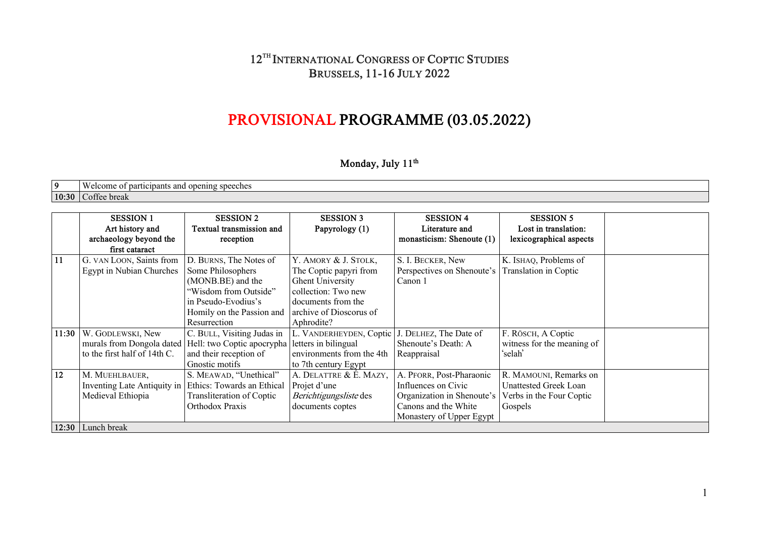## **12TH INTERNATIONAL CONGRESS OF COPTIC STUDIES BRUSSELS, 11-16 JULY 2022**

# **PROVISIONAL PROGRAMME (03.05.2022)**

## **Monday, July 11th**

| 0.    | elcome<br>`¤cınants<br>and<br>. opening<br>speeches<br>ำก<br>. .<br>uai uv |
|-------|----------------------------------------------------------------------------|
| 10:30 | break<br>$\Delta T T \Delta \Delta$<br>391 I CC                            |

|               | <b>SESSION 1</b>             | <b>SESSION 2</b>           | <b>SESSION 3</b>          | <b>SESSION 4</b>           | <b>SESSION 5</b>           |  |
|---------------|------------------------------|----------------------------|---------------------------|----------------------------|----------------------------|--|
|               | Art history and              | Textual transmission and   | Papyrology (1)            | Literature and             | Lost in translation:       |  |
|               | archaeology beyond the       | reception                  |                           | monasticism: Shenoute (1)  | lexicographical aspects    |  |
|               | first cataract               |                            |                           |                            |                            |  |
| <sup>11</sup> | G. VAN LOON, Saints from     | D. BURNS, The Notes of     | Y. AMORY & J. STOLK,      | S. I. BECKER, New          | K. ISHAQ, Problems of      |  |
|               | Egypt in Nubian Churches     | Some Philosophers          | The Coptic papyri from    | Perspectives on Shenoute's | Translation in Coptic      |  |
|               |                              | (MONB.BE) and the          | Ghent University          | Canon 1                    |                            |  |
|               |                              | "Wisdom from Outside"      | collection: Two new       |                            |                            |  |
|               |                              | in Pseudo-Evodius's        | documents from the        |                            |                            |  |
|               |                              | Homily on the Passion and  | archive of Dioscorus of   |                            |                            |  |
|               |                              | Resurrection               | Aphrodite?                |                            |                            |  |
| 11:30         | W. GODLEWSKI, New            | C. BULL, Visiting Judas in | L. VANDERHEYDEN, Coptic   | J. DELHEZ, The Date of     | F. RÖSCH, A Coptic         |  |
|               | murals from Dongola dated    | Hell: two Coptic apocrypha | letters in bilingual      | Shenoute's Death: A        | witness for the meaning of |  |
|               | to the first half of 14th C. | and their reception of     | environments from the 4th | Reappraisal                | 'selah'                    |  |
|               |                              | Gnostic motifs             | to 7th century Egypt      |                            |                            |  |
| 12            | M. MUEHLBAUER,               | S. MEAWAD, "Unethical"     | A. DELATTRE & É. MAZY,    | A. PFORR, Post-Pharaonic   | R. MAMOUNI, Remarks on     |  |
|               | Inventing Late Antiquity in  | Ethics: Towards an Ethical | Projet d'une              | Influences on Civic        | Unattested Greek Loan      |  |
|               | Medieval Ethiopia            | Transliteration of Coptic  | Berichtigungsliste des    | Organization in Shenoute's | Verbs in the Four Coptic   |  |
|               |                              | Orthodox Praxis            | documents coptes          | Canons and the White       | Gospels                    |  |
|               |                              |                            |                           | Monastery of Upper Egypt   |                            |  |
|               | 12:30 Lunch break            |                            |                           |                            |                            |  |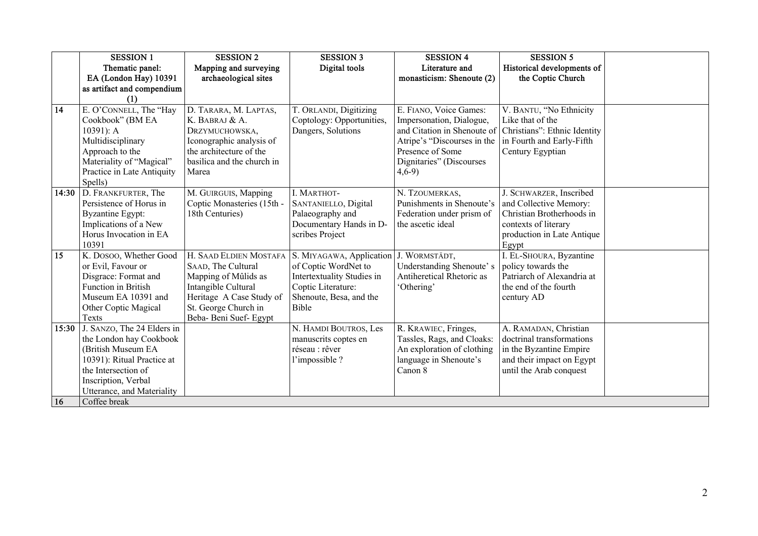|             | <b>SESSION 1</b>                                                                                                                                                                                      | <b>SESSION 2</b>                                                                                                                                                          | <b>SESSION 3</b>                                                                                                                         | <b>SESSION 4</b>                                                                                                                                                             | <b>SESSION 5</b>                                                                                                                              |  |
|-------------|-------------------------------------------------------------------------------------------------------------------------------------------------------------------------------------------------------|---------------------------------------------------------------------------------------------------------------------------------------------------------------------------|------------------------------------------------------------------------------------------------------------------------------------------|------------------------------------------------------------------------------------------------------------------------------------------------------------------------------|-----------------------------------------------------------------------------------------------------------------------------------------------|--|
|             | Thematic panel:                                                                                                                                                                                       | Mapping and surveying                                                                                                                                                     | Digital tools                                                                                                                            | Literature and                                                                                                                                                               | Historical developments of                                                                                                                    |  |
|             | EA (London Hay) 10391                                                                                                                                                                                 | archaeological sites                                                                                                                                                      |                                                                                                                                          | monasticism: Shenoute (2)                                                                                                                                                    | the Coptic Church                                                                                                                             |  |
|             | as artifact and compendium                                                                                                                                                                            |                                                                                                                                                                           |                                                                                                                                          |                                                                                                                                                                              |                                                                                                                                               |  |
|             | (1)                                                                                                                                                                                                   |                                                                                                                                                                           |                                                                                                                                          |                                                                                                                                                                              |                                                                                                                                               |  |
| 14          | E. O'CONNELL, The "Hay<br>Cookbook" (BM EA<br>$10391$ : A<br>Multidisciplinary<br>Approach to the<br>Materiality of "Magical"<br>Practice in Late Antiquity<br>Spells)                                | D. TARARA, M. LAPTAS,<br>K. BABRAJ & A.<br>DRZYMUCHOWSKA,<br>Iconographic analysis of<br>the architecture of the<br>basilica and the church in<br>Marea                   | T. ORLANDI, Digitizing<br>Coptology: Opportunities,<br>Dangers, Solutions                                                                | E. FIANO, Voice Games:<br>Impersonation, Dialogue,<br>and Citation in Shenoute of<br>Atripe's "Discourses in the<br>Presence of Some<br>Dignitaries" (Discourses<br>$4,6-9)$ | V. BANTU, "No Ethnicity<br>Like that of the<br>Christians": Ethnic Identity<br>in Fourth and Early-Fifth<br>Century Egyptian                  |  |
| 14:30       | D. FRANKFURTER, The<br>Persistence of Horus in<br><b>Byzantine Egypt:</b><br>Implications of a New<br>Horus Invocation in EA<br>10391                                                                 | M. GUIRGUIS, Mapping<br>Coptic Monasteries (15th -<br>18th Centuries)                                                                                                     | I. MARTHOT-<br>SANTANIELLO, Digital<br>Palaeography and<br>Documentary Hands in D-<br>scribes Project                                    | N. TZOUMERKAS,<br>Punishments in Shenoute's<br>Federation under prism of<br>the ascetic ideal                                                                                | J. SCHWARZER, Inscribed<br>and Collective Memory:<br>Christian Brotherhoods in<br>contexts of literary<br>production in Late Antique<br>Egypt |  |
| 15          | K. DOSOO, Whether Good<br>or Evil, Favour or<br>Disgrace: Format and<br><b>Function</b> in British<br>Museum EA 10391 and<br>Other Coptic Magical<br>Texts                                            | H. SAAD ELDIEN MOSTAFA<br>SAAD, The Cultural<br>Mapping of Mûlids as<br>Intangible Cultural<br>Heritage A Case Study of<br>St. George Church in<br>Beba- Beni Suef- Egypt | S. MIYAGAWA, Application<br>of Coptic WordNet to<br>Intertextuality Studies in<br>Coptic Literature:<br>Shenoute, Besa, and the<br>Bible | J. WORMSTÄDT,<br>Understanding Shenoute's<br>Antiheretical Rhetoric as<br>'Othering'                                                                                         | I. EL-SHOURA, Byzantine<br>policy towards the<br>Patriarch of Alexandria at<br>the end of the fourth<br>century AD                            |  |
| 15:30<br>16 | J. SANZO, The 24 Elders in<br>the London hay Cookbook<br>(British Museum EA<br>10391): Ritual Practice at<br>the Intersection of<br>Inscription, Verbal<br>Utterance, and Materiality<br>Coffee break |                                                                                                                                                                           | N. HAMDI BOUTROS, Les<br>manuscrits coptes en<br>réseau : rêver<br>l'impossible ?                                                        | R. KRAWIEC, Fringes,<br>Tassles, Rags, and Cloaks:<br>An exploration of clothing<br>language in Shenoute's<br>Canon 8                                                        | A. RAMADAN, Christian<br>doctrinal transformations<br>in the Byzantine Empire<br>and their impact on Egypt<br>until the Arab conquest         |  |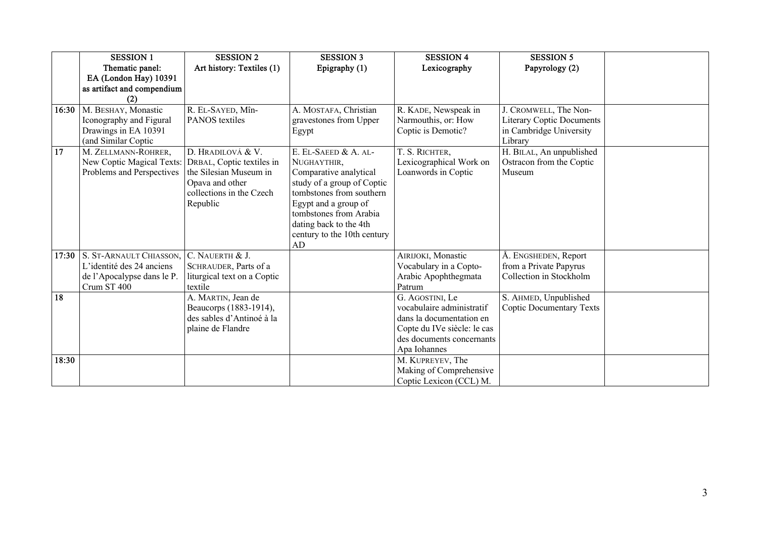|       | <b>SESSION 1</b>           | <b>SESSION 2</b>            | <b>SESSION 3</b>            | <b>SESSION 4</b>            | <b>SESSION 5</b>                 |  |
|-------|----------------------------|-----------------------------|-----------------------------|-----------------------------|----------------------------------|--|
|       | Thematic panel:            | Art history: Textiles (1)   | Epigraphy (1)               | Lexicography                | Papyrology (2)                   |  |
|       | EA (London Hay) 10391      |                             |                             |                             |                                  |  |
|       | as artifact and compendium |                             |                             |                             |                                  |  |
|       |                            |                             |                             |                             |                                  |  |
| 16:30 | M. BESHAY, Monastic        | R. EL-SAYED, Mîn-           | A. MOSTAFA, Christian       | R. KADE, Newspeak in        | J. CROMWELL, The Non-            |  |
|       | Iconography and Figural    | <b>PANOS</b> textiles       | gravestones from Upper      | Narmouthis, or: How         | <b>Literary Coptic Documents</b> |  |
|       | Drawings in EA 10391       |                             | Egypt                       | Coptic is Demotic?          | in Cambridge University          |  |
|       | (and Similar Coptic        |                             |                             |                             | Library                          |  |
| 17    | M. ZELLMANN-ROHRER,        | D. HRADILOVÁ & V.           | E. EL-SAEED & A. AL-        | T. S. RICHTER,              | H. BILAL, An unpublished         |  |
|       | New Coptic Magical Texts:  | DRBAL, Coptic textiles in   | NUGHAYTHIR.                 | Lexicographical Work on     | Ostracon from the Coptic         |  |
|       | Problems and Perspectives  | the Silesian Museum in      | Comparative analytical      | Loanwords in Coptic         | Museum                           |  |
|       |                            | Opava and other             | study of a group of Coptic  |                             |                                  |  |
|       |                            | collections in the Czech    | tombstones from southern    |                             |                                  |  |
|       |                            | Republic                    | Egypt and a group of        |                             |                                  |  |
|       |                            |                             | tombstones from Arabia      |                             |                                  |  |
|       |                            |                             | dating back to the 4th      |                             |                                  |  |
|       |                            |                             | century to the 10th century |                             |                                  |  |
|       |                            |                             | AD                          |                             |                                  |  |
| 17:30 | S. ST-ARNAULT CHIASSON,    | C. NAUERTH & J.             |                             | AIRIJOKI, Monastic          | Å. ENGSHEDEN, Report             |  |
|       | L'identité des 24 anciens  | SCHRAUDER, Parts of a       |                             | Vocabulary in a Copto-      | from a Private Papyrus           |  |
|       | de l'Apocalypse dans le P. | liturgical text on a Coptic |                             | Arabic Apophthegmata        | Collection in Stockholm          |  |
|       | Crum ST 400                | textile                     |                             | Patrum                      |                                  |  |
| 18    |                            | A. MARTIN, Jean de          |                             | G. AGOSTINI, Le             | S. AHMED, Unpublished            |  |
|       |                            | Beaucorps (1883-1914),      |                             | vocabulaire administratif   | <b>Coptic Documentary Texts</b>  |  |
|       |                            | des sables d'Antinoé à la   |                             | dans la documentation en    |                                  |  |
|       |                            | plaine de Flandre           |                             | Copte du IVe siècle: le cas |                                  |  |
|       |                            |                             |                             | des documents concernants   |                                  |  |
|       |                            |                             |                             | Apa Iohannes                |                                  |  |
| 18:30 |                            |                             |                             | M. KUPREYEV, The            |                                  |  |
|       |                            |                             |                             | Making of Comprehensive     |                                  |  |
|       |                            |                             |                             |                             |                                  |  |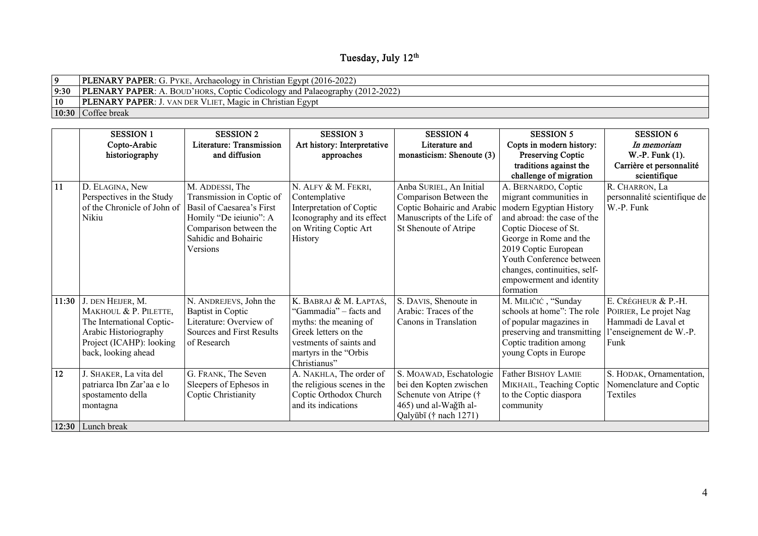## **Tuesday, July 12th**

|      | <b>PLENARY PAPER:</b> G. PYKE, Archaeology in Christian Egypt (2016-2022)          |
|------|------------------------------------------------------------------------------------|
| 9:30 | <b>PLENARY PAPER:</b> A. BOUD'HORS, Coptic Codicology and Palaeography (2012-2022) |
| 10   | <b>PLENARY PAPER:</b> J. VAN DER VLIET, Magic in Christian Egypt                   |
|      | $\vert 10:30 \vert$ Coffee break                                                   |

|           | <b>SESSION 1</b>            | <b>SESSION 2</b>          | <b>SESSION 3</b>            | <b>SESSION 4</b>           | <b>SESSION 5</b>             | <b>SESSION 6</b>             |
|-----------|-----------------------------|---------------------------|-----------------------------|----------------------------|------------------------------|------------------------------|
|           | Copto-Arabic                | Literature: Transmission  | Art history: Interpretative | Literature and             | Copts in modern history:     | In memoriam                  |
|           | historiography              | and diffusion             | approaches                  | monasticism: Shenoute (3)  | Preserving Coptic            | W.-P. Funk (1).              |
|           |                             |                           |                             |                            | traditions against the       | Carrière et personnalité     |
|           |                             |                           |                             |                            | challenge of migration       | scientifique                 |
| <b>11</b> | D. ELAGINA, New             | M. ADDESSI, The           | N. ALFY & M. FEKRI,         | Anba SURIEL, An Initial    | A. BERNARDO, Coptic          | R. CHARRON, La               |
|           | Perspectives in the Study   | Transmission in Coptic of | Contemplative               | Comparison Between the     | migrant communities in       | personnalité scientifique de |
|           | of the Chronicle of John of | Basil of Caesarea's First | Interpretation of Coptic    | Coptic Bohairic and Arabic | modern Egyptian History      | W.-P. Funk                   |
|           | Nikiu                       | Homily "De ieiunio": A    | Iconography and its effect  | Manuscripts of the Life of | and abroad: the case of the  |                              |
|           |                             | Comparison between the    | on Writing Coptic Art       | St Shenoute of Atripe      | Coptic Diocese of St.        |                              |
|           |                             | Sahidic and Bohairic      | History                     |                            | George in Rome and the       |                              |
|           |                             | Versions                  |                             |                            | 2019 Coptic European         |                              |
|           |                             |                           |                             |                            | Youth Conference between     |                              |
|           |                             |                           |                             |                            | changes, continuities, self- |                              |
|           |                             |                           |                             |                            | empowerment and identity     |                              |
|           |                             |                           |                             |                            | formation                    |                              |
| 11:30     | J. DEN HEIJER, M.           | N. ANDREJEVS, John the    | K. BABRAJ & M. ŁAPTAŚ,      | S. DAVIS, Shenoute in      | M. MILIČIĆ, "Sunday          | E. CRÉGHEUR & P.-H.          |
|           | MAKHOUL & P. PILETTE,       | <b>Baptist in Coptic</b>  | "Gammadia" – facts and      | Arabic: Traces of the      | schools at home": The role   | POIRIER, Le projet Nag       |
|           | The International Coptic-   | Literature: Overview of   | myths: the meaning of       | Canons in Translation      | of popular magazines in      | Hammadi de Laval et          |
|           | Arabic Historiography       | Sources and First Results | Greek letters on the        |                            | preserving and transmitting  | l'enseignement de W.-P.      |
|           | Project (ICAHP): looking    | of Research               | vestments of saints and     |                            | Coptic tradition among       | Funk                         |
|           | back, looking ahead         |                           | martyrs in the "Orbis"      |                            | young Copts in Europe        |                              |
|           |                             |                           | Christianus"                |                            |                              |                              |
| 12        | J. SHAKER, La vita del      | G. FRANK, The Seven       | A. NAKHLA, The order of     | S. MOAWAD, Eschatologie    | <b>Father BISHOY LAMIE</b>   | S. HODAK, Ornamentation,     |
|           | patriarca Ibn Zar'aa e lo   | Sleepers of Ephesos in    | the religious scenes in the | bei den Kopten zwischen    | MIKHAIL, Teaching Coptic     | Nomenclature and Coptic      |
|           | spostamento della           | Coptic Christianity       | Coptic Orthodox Church      | Schenute von Atripe (†     | to the Coptic diaspora       | Textiles                     |
|           | montagna                    |                           | and its indications         | 465) und al-Wağīh al-      | community                    |                              |
|           |                             |                           |                             | Qalyūbī († nach 1271)      |                              |                              |
|           | 12:30 Lunch break           |                           |                             |                            |                              |                              |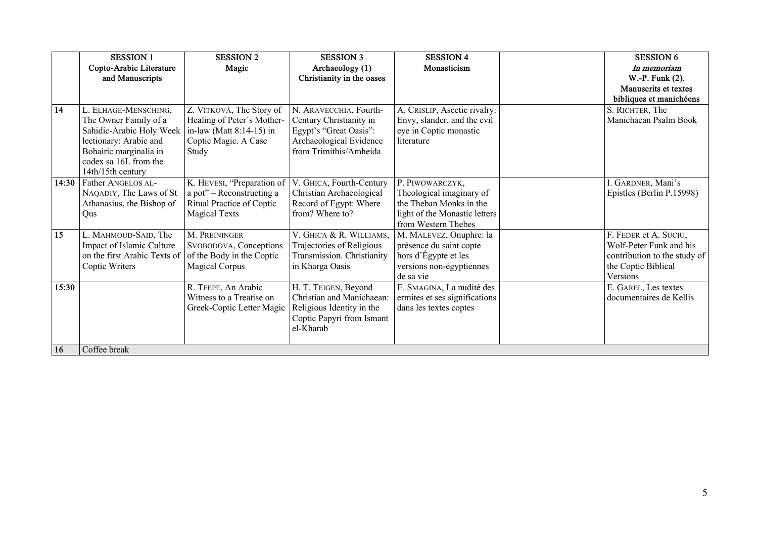|       | <b>SESSION 1</b>             | <b>SESSION 2</b>            | <b>SESSION 3</b>           | <b>SESSION 4</b>              | <b>SESSION 6</b>             |
|-------|------------------------------|-----------------------------|----------------------------|-------------------------------|------------------------------|
|       | Copto-Arabic Literature      | Magic                       | Archaeology (1)            | Monasticism                   | In memoriam                  |
|       | and Manuscripts              |                             | Christianity in the oases  |                               | W.-P. Funk (2).              |
|       |                              |                             |                            |                               | Manuscrits et textes         |
|       |                              |                             |                            |                               | bibliques et manichéens      |
| 14    | L. ELHAGE-MENSCHING,         | Z. VÍTKOVÁ, The Story of    | N. ARAVECCHIA, Fourth-     | A. CRISLIP, Ascetic rivalry:  | S. RICHTER, The              |
|       | The Owner Family of a        | Healing of Peter's Mother-  | Century Christianity in    | Envy, slander, and the evil   | Manichaean Psalm Book        |
|       | Sahidic-Arabic Holy Week     | in-law (Matt $8:14-15$ ) in | Egypt's "Great Oasis":     | eye in Coptic monastic        |                              |
|       | lectionary: Arabic and       | Coptic Magic. A Case        | Archaeological Evidence    | literature                    |                              |
|       | Bohairic marginalia in       | Study                       | from Trimithis/Amheida     |                               |                              |
|       | codex sa 16L from the        |                             |                            |                               |                              |
|       | 14th/15th century            |                             |                            |                               |                              |
| 14:30 | Father ANGELOS AL-           | K. HEVESI, "Preparation of  | V. GHICA, Fourth-Century   | P. PIWOWARCZYK,               | I. GARDNER, Mani's           |
|       | NAQADIY, The Laws of St      | a pot" - Reconstructing a   | Christian Archaeological   | Theological imaginary of      | Epistles (Berlin P.15998)    |
|       | Athanasius, the Bishop of    | Ritual Practice of Coptic   | Record of Egypt: Where     | the Theban Monks in the       |                              |
|       | Qus                          | <b>Magical Texts</b>        | from? Where to?            | light of the Monastic letters |                              |
|       |                              |                             |                            | from Western Thebes           |                              |
| 15    | L. MAHMOUD-SAID, The         | M. PREININGER               | V. GHICA & R. WILLIAMS,    | M. MALEVEZ, Onuphre: la       | F. FEDER et A. SUCIU,        |
|       | Impact of Islamic Culture    | SVOBODOVA, Conceptions      | Trajectories of Religious  | présence du saint copte       | Wolf-Peter Funk and his      |
|       | on the first Arabic Texts of | of the Body in the Coptic   | Transmission. Christianity | hors d'Égypte et les          | contribution to the study of |
|       | Coptic Writers               | <b>Magical Corpus</b>       | in Kharga Oasis            | versions non-égyptiennes      | the Coptic Biblical          |
|       |                              |                             |                            | de sa vie                     | Versions                     |
| 15:30 |                              | R. TEEPE, An Arabic         | H. T. TEIGEN, Beyond       | E. SMAGINA, La nudité des     | E. GAREL, Les textes         |
|       |                              | Witness to a Treatise on    | Christian and Manichaean:  | ermites et ses significations | documentaires de Kellis      |
|       |                              | Greek-Coptic Letter Magic   | Religious Identity in the  | dans les textes coptes        |                              |
|       |                              |                             | Coptic Papyri from Ismant  |                               |                              |
|       |                              |                             | el-Kharab                  |                               |                              |
|       |                              |                             |                            |                               |                              |
| 16    | Coffee break                 |                             |                            |                               |                              |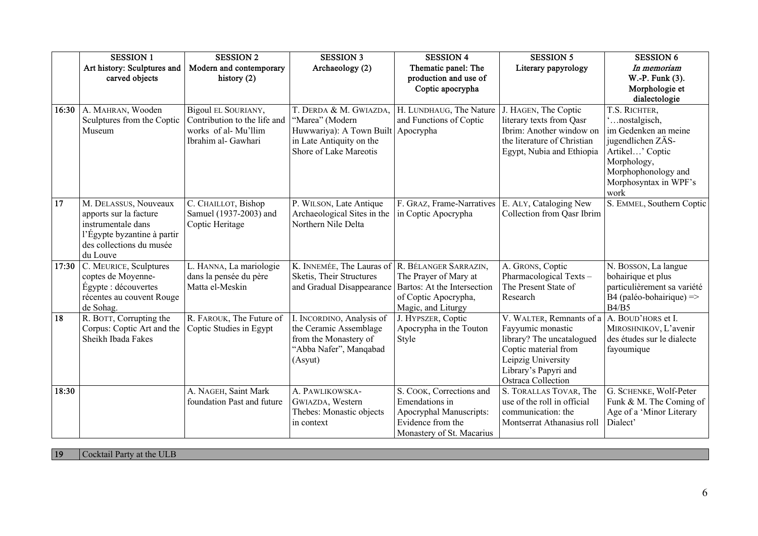|       | <b>SESSION 1</b>                           | <b>SESSION 2</b>                          | <b>SESSION 3</b>            | <b>SESSION 4</b>                                     | <b>SESSION 5</b>                               | <b>SESSION 6</b>                                  |
|-------|--------------------------------------------|-------------------------------------------|-----------------------------|------------------------------------------------------|------------------------------------------------|---------------------------------------------------|
|       | Art history: Sculptures and                | Modern and contemporary                   | Archaeology (2)             | Thematic panel: The                                  | Literary papyrology                            | In memoriam                                       |
|       | carved objects                             | history (2)                               |                             | production and use of                                |                                                | W.-P. Funk (3).                                   |
|       |                                            |                                           |                             | Coptic apocrypha                                     |                                                | Morphologie et                                    |
|       |                                            |                                           |                             |                                                      |                                                | dialectologie                                     |
| 16:30 | A. MAHRAN, Wooden                          | Bigoul EL SOURIANY,                       | T. DERDA & M. GWIAZDA,      | H. LUNDHAUG, The Nature                              | J. HAGEN, The Coptic                           | T.S. RICHTER,                                     |
|       | Sculptures from the Coptic                 | Contribution to the life and              | "Marea" (Modern             | and Functions of Coptic                              | literary texts from Qasr                       | 'nostalgisch,                                     |
|       | Museum                                     | works of al- Mu'llim                      | Huwwariya): A Town Built    | Apocrypha                                            | Ibrim: Another window on                       | im Gedenken an meine                              |
|       |                                            | Ibrahim al- Gawhari                       | in Late Antiquity on the    |                                                      | the literature of Christian                    | jugendlichen ZÄS-                                 |
|       |                                            |                                           | Shore of Lake Mareotis      |                                                      | Egypt, Nubia and Ethiopia                      | Artikel' Coptic<br>Morphology,                    |
|       |                                            |                                           |                             |                                                      |                                                | Morphophonology and                               |
|       |                                            |                                           |                             |                                                      |                                                | Morphosyntax in WPF's                             |
|       |                                            |                                           |                             |                                                      |                                                | work                                              |
| 17    | M. DELASSUS, Nouveaux                      | C. CHAILLOT, Bishop                       | P. WILSON, Late Antique     | F. GRAZ, Frame-Narratives                            | E. ALY, Cataloging New                         | S. EMMEL, Southern Coptic                         |
|       | apports sur la facture                     | Samuel (1937-2003) and                    | Archaeological Sites in the | in Coptic Apocrypha                                  | Collection from Qasr Ibrim                     |                                                   |
|       | instrumentale dans                         | Coptic Heritage                           | Northern Nile Delta         |                                                      |                                                |                                                   |
|       | l'Égypte byzantine à partir                |                                           |                             |                                                      |                                                |                                                   |
|       | des collections du musée                   |                                           |                             |                                                      |                                                |                                                   |
|       | du Louve                                   |                                           |                             |                                                      |                                                |                                                   |
| 17:30 | C. MEURICE, Sculptures                     | L. HANNA, La mariologie                   | K. INNEMÉE, The Lauras of   | R. BÉLANGER SARRAZIN,                                | A. GRONS, Coptic                               | N. BOSSON, La langue                              |
|       | coptes de Moyenne-<br>Égypte : découvertes | dans la pensée du père<br>Matta el-Meskin | Sketis, Their Structures    | The Prayer of Mary at<br>Bartos: At the Intersection | Pharmacological Texts-<br>The Present State of | bohairique et plus<br>particulièrement sa variété |
|       | récentes au couvent Rouge                  |                                           | and Gradual Disappearance   | of Coptic Apocrypha,                                 | Research                                       | B4 (paléo-bohairique) $\Rightarrow$               |
|       | de Sohag.                                  |                                           |                             | Magic, and Liturgy                                   |                                                | B4/B5                                             |
| 18    | R. BOTT, Corrupting the                    | R. FAROUK, The Future of                  | I. INCORDINO, Analysis of   | J. HYPSZER, Coptic                                   | V. WALTER, Remnants of a A. BOUD'HORS et I.    |                                                   |
|       | Corpus: Coptic Art and the                 | Coptic Studies in Egypt                   | the Ceramic Assemblage      | Apocrypha in the Touton                              | Fayyumic monastic                              | MIROSHNIKOV, L'avenir                             |
|       | Sheikh Ibada Fakes                         |                                           | from the Monastery of       | Style                                                | library? The uncatalogued                      | des études sur le dialecte                        |
|       |                                            |                                           | "Abba Nafer", Manqabad      |                                                      | Coptic material from                           | fayoumique                                        |
|       |                                            |                                           | (Asyut)                     |                                                      | Leipzig University                             |                                                   |
|       |                                            |                                           |                             |                                                      | Library's Papyri and                           |                                                   |
|       |                                            |                                           |                             |                                                      | Ostraca Collection                             |                                                   |
| 18:30 |                                            | A. NAGEH, Saint Mark                      | A. PAWLIKOWSKA-             | S. COOK, Corrections and                             | S. TORALLAS TOVAR, The                         | G. SCHENKE, Wolf-Peter                            |
|       |                                            | foundation Past and future                | GWIAZDA, Western            | Emendations in                                       | use of the roll in official                    | Funk & M. The Coming of                           |
|       |                                            |                                           | Thebes: Monastic objects    | Apocryphal Manuscripts:                              | communication: the                             | Age of a 'Minor Literary                          |
|       |                                            |                                           | in context                  | Evidence from the                                    | Montserrat Athanasius roll                     | Dialect'                                          |
|       |                                            |                                           |                             | Monastery of St. Macarius                            |                                                |                                                   |

**19** Cocktail Party at the ULB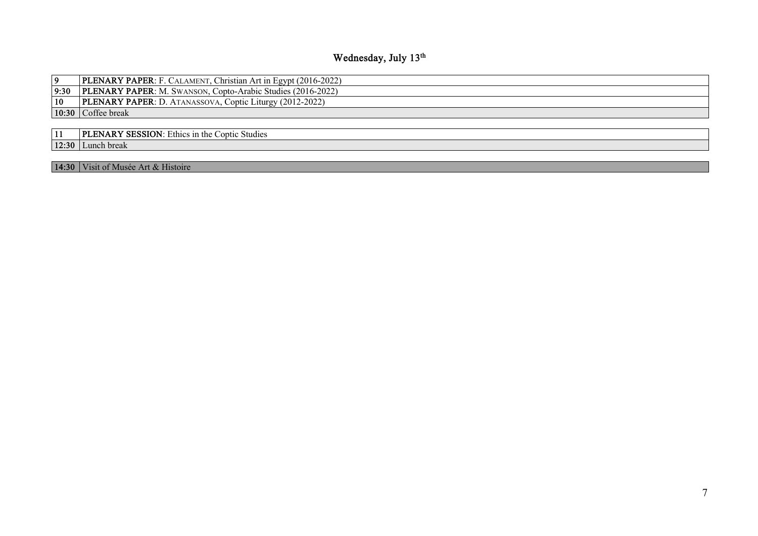## **Wednesday, July 13th**

| 9  | <b>PLENARY PAPER:</b> F. CALAMENT, Christian Art in Egypt (2016-2022) |
|----|-----------------------------------------------------------------------|
|    | 9:30   PLENARY PAPER: M. SWANSON, Copto-Arabic Studies (2016-2022)    |
| 10 | <b>PLENARY PAPER:</b> D. ATANASSOVA, Coptic Liturgy (2012-2022)       |
|    | $\vert 10:30 \vert$ Coffee break                                      |
|    |                                                                       |

| 11 | <b>PLENARY SESSION:</b> Ethics in the Coptic Studies |
|----|------------------------------------------------------|
|    | 12:30 Lunch break                                    |

14:30 Visit of Musée Art & Histoire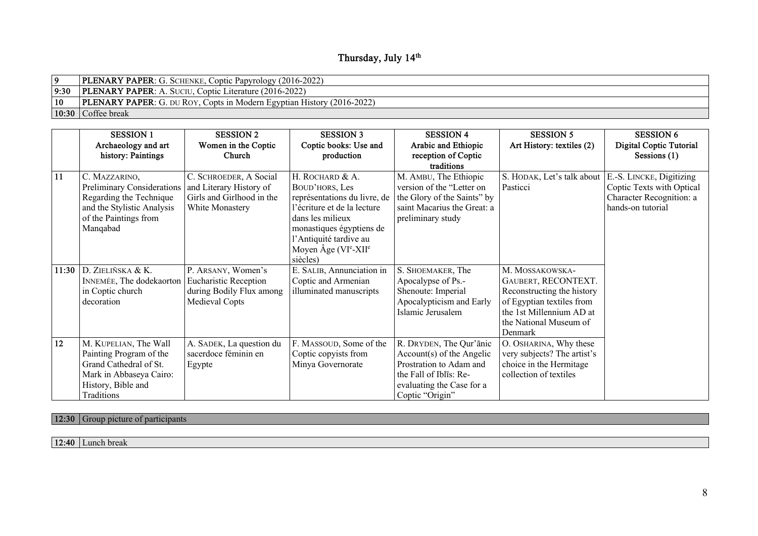### **Thursday, July 14th**

|              | <b>PLENARY PAPER:</b> G. SCHENKE, Coptic Papyrology (2016-2022)               |
|--------------|-------------------------------------------------------------------------------|
| 9:30         | <b>PLENARY PAPER:</b> A. SUCIU, Coptic Literature (2016-2022)                 |
| $ 10\rangle$ | <b>PLENARY PAPER:</b> G. DU ROY, Copts in Modern Egyptian History (2016-2022) |
|              | $\vert 10:30 \vert$ Coffee break                                              |

|       | <b>SESSION 1</b><br>Archaeology and art<br>history: Paintings                                                                             | <b>SESSION 2</b><br>Women in the Coptic<br>Church                                                 | <b>SESSION 3</b><br>Coptic books: Use and<br>production                                                                                                                                                                                         | <b>SESSION 4</b><br>Arabic and Ethiopic<br>reception of Coptic<br>traditions                                                                              | <b>SESSION 5</b><br>Art History: textiles (2)                                                                                                                      | <b>SESSION 6</b><br>Digital Coptic Tutorial<br>Sessions $(1)$                                          |
|-------|-------------------------------------------------------------------------------------------------------------------------------------------|---------------------------------------------------------------------------------------------------|-------------------------------------------------------------------------------------------------------------------------------------------------------------------------------------------------------------------------------------------------|-----------------------------------------------------------------------------------------------------------------------------------------------------------|--------------------------------------------------------------------------------------------------------------------------------------------------------------------|--------------------------------------------------------------------------------------------------------|
| 11    | C. MAZZARINO,<br>Preliminary Considerations<br>Regarding the Technique<br>and the Stylistic Analysis<br>of the Paintings from<br>Manqabad | C. SCHROEDER, A Social<br>and Literary History of<br>Girls and Girlhood in the<br>White Monastery | H. ROCHARD & A.<br>BOUD'HORS, Les<br>représentations du livre, de<br>l'écriture et de la lecture<br>dans les milieux<br>monastiques égyptiens de<br>l'Antiquité tardive au<br>Moyen $\angle$ Age (VI <sup>e</sup> -XII <sup>e</sup><br>siècles) | M. AMBU, The Ethiopic<br>version of the "Letter on<br>the Glory of the Saints" by<br>saint Macarius the Great: a<br>preliminary study                     | S. HODAK, Let's talk about<br>Pasticci                                                                                                                             | E.-S. LINCKE, Digitizing<br>Coptic Texts with Optical<br>Character Recognition: a<br>hands-on tutorial |
| 11:30 | D. ZIELIÑSKA & K.<br>INNEMÉE, The dodekaorton<br>in Coptic church<br>decoration                                                           | P. ARSANY, Women's<br><b>Eucharistic Reception</b><br>during Bodily Flux among<br>Medieval Copts  | E. SALIB, Annunciation in<br>Coptic and Armenian<br>illuminated manuscripts                                                                                                                                                                     | S. SHOEMAKER, The<br>Apocalypse of Ps.-<br>Shenoute: Imperial<br>Apocalypticism and Early<br>Islamic Jerusalem                                            | M. MOSSAKOWSKA-<br>GAUBERT, RECONTEXT.<br>Reconstructing the history<br>of Egyptian textiles from<br>the 1st Millennium AD at<br>the National Museum of<br>Denmark |                                                                                                        |
| 12    | M. KUPELIAN, The Wall<br>Painting Program of the<br>Grand Cathedral of St.<br>Mark in Abbaseya Cairo:<br>History, Bible and<br>Traditions | A. SADEK, La question du<br>sacerdoce féminin en<br>Egypte                                        | F. MASSOUD, Some of the<br>Coptic copyists from<br>Minya Governorate                                                                                                                                                                            | R. DRYDEN, The Qur'ānic<br>Account(s) of the Angelic<br>Prostration to Adam and<br>the Fall of Iblis: Re-<br>evaluating the Case for a<br>Coptic "Origin" | O. OSHARINA, Why these<br>very subjects? The artist's<br>choice in the Hermitage<br>collection of textiles                                                         |                                                                                                        |

**12:30** Group picture of participants

**12:40** Lunch break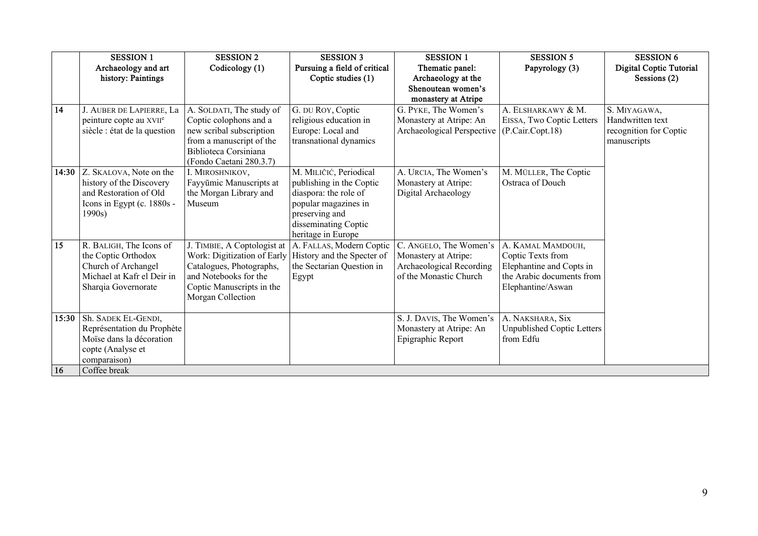|       | <b>SESSION 1</b>                    | <b>SESSION 2</b>            | <b>SESSION 3</b>             | <b>SESSION 1</b>           | <b>SESSION 5</b>           | <b>SESSION 6</b>        |
|-------|-------------------------------------|-----------------------------|------------------------------|----------------------------|----------------------------|-------------------------|
|       | Archaeology and art                 | Codicology (1)              | Pursuing a field of critical | Thematic panel:            | Papyrology (3)             | Digital Coptic Tutorial |
|       | history: Paintings                  |                             | Coptic studies (1)           | Archaeology at the         |                            | Sessions $(2)$          |
|       |                                     |                             |                              | Shenoutean women's         |                            |                         |
|       |                                     |                             |                              | monastery at Atripe        |                            |                         |
| 14    | J. AUBER DE LAPIERRE, La            | A. SOLDATI, The study of    | G. DU ROY, Coptic            | G. PYKE, The Women's       | A. ELSHARKAWY & M.         | S. MIYAGAWA,            |
|       | peinture copte au XVII <sup>e</sup> | Coptic colophons and a      | religious education in       | Monastery at Atripe: An    | EISSA, Two Coptic Letters  | Handwritten text        |
|       | siècle : état de la question        | new scribal subscription    | Europe: Local and            | Archaeological Perspective | (P.Cair.Copt.18)           | recognition for Coptic  |
|       |                                     | from a manuscript of the    | transnational dynamics       |                            |                            | manuscripts             |
|       |                                     | Biblioteca Corsiniana       |                              |                            |                            |                         |
|       |                                     | (Fondo Caetani 280.3.7)     |                              |                            |                            |                         |
| 14:30 | Z. SKALOVA, Note on the             | I. MIROSHNIKOV,             | M. MILIČIĆ, Periodical       | A. URCIA, The Women's      | M. MÜLLER, The Coptic      |                         |
|       | history of the Discovery            | Fayyūmic Manuscripts at     | publishing in the Coptic     | Monastery at Atripe:       | Ostraca of Douch           |                         |
|       | and Restoration of Old              | the Morgan Library and      | diaspora: the role of        | Digital Archaeology        |                            |                         |
|       | Icons in Egypt (c. 1880s -          | Museum                      | popular magazines in         |                            |                            |                         |
|       | 1990s)                              |                             | preserving and               |                            |                            |                         |
|       |                                     |                             | disseminating Coptic         |                            |                            |                         |
|       |                                     |                             | heritage in Europe           |                            |                            |                         |
| 15    | R. BALIGH, The Icons of             | J. TIMBIE, A Coptologist at | A. FALLAS, Modern Coptic     | C. ANGELO, The Women's     | A. KAMAL MAMDOUH,          |                         |
|       | the Coptic Orthodox                 | Work: Digitization of Early | History and the Specter of   | Monastery at Atripe:       | Coptic Texts from          |                         |
|       | Church of Archangel                 | Catalogues, Photographs,    | the Sectarian Question in    | Archaeological Recording   | Elephantine and Copts in   |                         |
|       | Michael at Kafr el Deir in          | and Notebooks for the       | Egypt                        | of the Monastic Church     | the Arabic documents from  |                         |
|       | Sharqia Governorate                 | Coptic Manuscripts in the   |                              |                            | Elephantine/Aswan          |                         |
|       |                                     | Morgan Collection           |                              |                            |                            |                         |
| 15:30 | Sh. SADEK EL-GENDI,                 |                             |                              | S. J. DAVIS, The Women's   | A. NAKSHARA, Six           |                         |
|       | Représentation du Prophète          |                             |                              | Monastery at Atripe: An    | Unpublished Coptic Letters |                         |
|       | Moïse dans la décoration            |                             |                              | Epigraphic Report          | from Edfu                  |                         |
|       | copte (Analyse et                   |                             |                              |                            |                            |                         |
|       | comparaison)                        |                             |                              |                            |                            |                         |
| 16    | Coffee break                        |                             |                              |                            |                            |                         |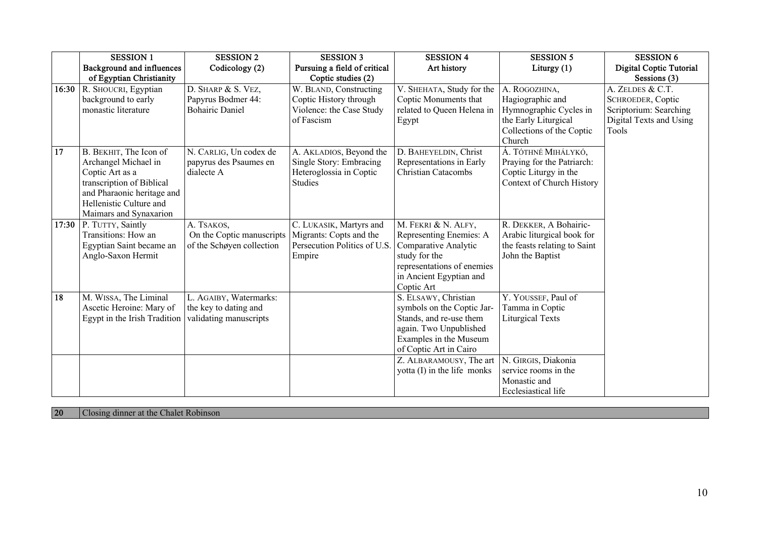|       | <b>SESSION 1</b>             | <b>SESSION 2</b>          | <b>SESSION 3</b>             | <b>SESSION 4</b>            | <b>SESSION 5</b>             | <b>SESSION 6</b>        |
|-------|------------------------------|---------------------------|------------------------------|-----------------------------|------------------------------|-------------------------|
|       | Background and influences    | Codicology (2)            | Pursuing a field of critical | Art history                 | Liturgy $(1)$                | Digital Coptic Tutorial |
|       | of Egyptian Christianity     |                           | Coptic studies (2)           |                             |                              | Sessions (3)            |
| 16:30 | R. SHOUCRI, Egyptian         | D. SHARP & S. VEZ,        | W. BLAND, Constructing       | V. SHEHATA, Study for the   | A. ROGOZHINA,                | A. ZELDES & C.T.        |
|       | background to early          | Papyrus Bodmer 44:        | Coptic History through       | Coptic Monuments that       | Hagiographic and             | SCHROEDER, Coptic       |
|       | monastic literature          | <b>Bohairic Daniel</b>    | Violence: the Case Study     | related to Queen Helena in  | Hymnographic Cycles in       | Scriptorium: Searching  |
|       |                              |                           | of Fascism                   | Egypt                       | the Early Liturgical         | Digital Texts and Using |
|       |                              |                           |                              |                             | Collections of the Coptic    | Tools                   |
|       |                              |                           |                              |                             | Church                       |                         |
| 17    | B. BEKHIT, The Icon of       | N. CARLIG, Un codex de    | A. AKLADIOS, Beyond the      | D. BAHEYELDIN, Christ       | Á. TÓTHNÉ MIHÁLYKÓ,          |                         |
|       | Archangel Michael in         | papyrus des Psaumes en    | Single Story: Embracing      | Representations in Early    | Praying for the Patriarch:   |                         |
|       | Coptic Art as a              | dialecte A                | Heteroglossia in Coptic      | <b>Christian Catacombs</b>  | Coptic Liturgy in the        |                         |
|       | transcription of Biblical    |                           | <b>Studies</b>               |                             | Context of Church History    |                         |
|       | and Pharaonic heritage and   |                           |                              |                             |                              |                         |
|       | Hellenistic Culture and      |                           |                              |                             |                              |                         |
|       | Maimars and Synaxarion       |                           |                              |                             |                              |                         |
| 17:30 | P. TUTTY, Saintly            | A. TSAKOS,                | C. LUKASIK, Martyrs and      | M. FEKRI & N. ALFY,         | R. DEKKER, A Bohairic-       |                         |
|       | Transitions: How an          | On the Coptic manuscripts | Migrants: Copts and the      | Representing Enemies: A     | Arabic liturgical book for   |                         |
|       | Egyptian Saint became an     | of the Schøyen collection | Persecution Politics of U.S. | Comparative Analytic        | the feasts relating to Saint |                         |
|       | Anglo-Saxon Hermit           |                           | Empire                       | study for the               | John the Baptist             |                         |
|       |                              |                           |                              | representations of enemies  |                              |                         |
|       |                              |                           |                              | in Ancient Egyptian and     |                              |                         |
|       |                              |                           |                              | Coptic Art                  |                              |                         |
| 18    | M. WISSA, The Liminal        | L. AGAIBY, Watermarks:    |                              | S. ELSAWY, Christian        | Y. YOUSSEF, Paul of          |                         |
|       | Ascetic Heroine: Mary of     | the key to dating and     |                              | symbols on the Coptic Jar-  | Tamma in Coptic              |                         |
|       | Egypt in the Irish Tradition | validating manuscripts    |                              | Stands, and re-use them     | <b>Liturgical Texts</b>      |                         |
|       |                              |                           |                              | again. Two Unpublished      |                              |                         |
|       |                              |                           |                              | Examples in the Museum      |                              |                         |
|       |                              |                           |                              | of Coptic Art in Cairo      |                              |                         |
|       |                              |                           |                              | Z. ALBARAMOUSY, The art     | N. GIRGIS, Diakonia          |                         |
|       |                              |                           |                              | yotta (I) in the life monks | service rooms in the         |                         |
|       |                              |                           |                              |                             | Monastic and                 |                         |
|       |                              |                           |                              |                             | Ecclesiastical life          |                         |

**20** Closing dinner at the Chalet Robinson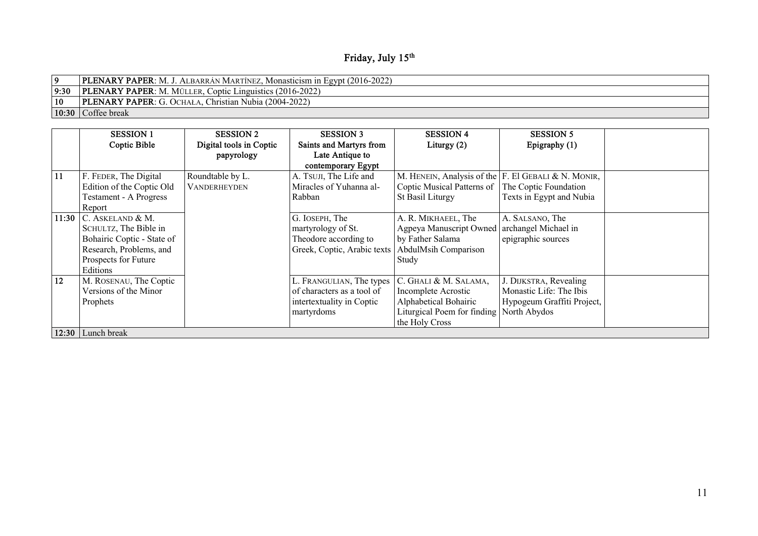| Friday, July 15th |  |  |
|-------------------|--|--|
|-------------------|--|--|

|              | <b>PLENARY PAPER:</b> M. J. ALBARRÁN MARTÍNEZ, Monasticism in Egypt (2016-2022) |
|--------------|---------------------------------------------------------------------------------|
| 9:30         | <b>PLENARY PAPER:</b> M. MÜLLER, Coptic Linguistics (2016-2022)                 |
| $ 10\rangle$ | <b>PLENARY PAPER:</b> G. OCHALA, Christian Nubia (2004-2022)                    |
|              | $\vert 10:30 \vert$ Coffee break                                                |

|       | <b>SESSION 1</b>              | <b>SESSION 2</b>        | <b>SESSION 3</b>            | <b>SESSION 4</b>            | <b>SESSION 5</b>                                       |  |  |  |
|-------|-------------------------------|-------------------------|-----------------------------|-----------------------------|--------------------------------------------------------|--|--|--|
|       | Coptic Bible                  | Digital tools in Coptic | Saints and Martyrs from     | Liturgy $(2)$               | Epigraphy (1)                                          |  |  |  |
|       |                               | papyrology              | Late Antique to             |                             |                                                        |  |  |  |
|       |                               |                         | contemporary Egypt          |                             |                                                        |  |  |  |
| 11    | F. FEDER, The Digital         | Roundtable by L.        | A. TSUJI, The Life and      |                             | M. HENEIN, Analysis of the $F$ . El GEBALI & N. MONIR, |  |  |  |
|       | Edition of the Coptic Old     | <b>VANDERHEYDEN</b>     | Miracles of Yuhanna al-     | Coptic Musical Patterns of  | The Coptic Foundation                                  |  |  |  |
|       | <b>Testament - A Progress</b> |                         | Rabban                      | St Basil Liturgy            | Texts in Egypt and Nubia                               |  |  |  |
|       | Report                        |                         |                             |                             |                                                        |  |  |  |
| 11:30 | C. ASKELAND & M.              |                         | G. IOSEPH, The              | A. R. MIKHAEEL, The         | A. SALSANO, The                                        |  |  |  |
|       | SCHULTZ, The Bible in         |                         | martyrology of St.          | Agpeya Manuscript Owned     | archangel Michael in                                   |  |  |  |
|       | Bohairic Coptic - State of    |                         | Theodore according to       | by Father Salama            | epigraphic sources                                     |  |  |  |
|       | Research, Problems, and       |                         | Greek, Coptic, Arabic texts | AbdulMsih Comparison        |                                                        |  |  |  |
|       | Prospects for Future          |                         |                             | Study                       |                                                        |  |  |  |
|       | Editions                      |                         |                             |                             |                                                        |  |  |  |
| 12    | M. ROSENAU, The Coptic        |                         | L. FRANGULIAN, The types    | C. GHALI & M. SALAMA,       | J. DIJKSTRA, Revealing                                 |  |  |  |
|       | Versions of the Minor         |                         | of characters as a tool of  | Incomplete Acrostic         | Monastic Life: The Ibis                                |  |  |  |
|       | Prophets                      |                         | intertextuality in Coptic   | Alphabetical Bohairic       | Hypogeum Graffiti Project,                             |  |  |  |
|       |                               |                         | martyrdoms                  | Liturgical Poem for finding | North Abydos                                           |  |  |  |
|       |                               |                         |                             | the Holy Cross              |                                                        |  |  |  |
| 12:30 | Lunch break                   |                         |                             |                             |                                                        |  |  |  |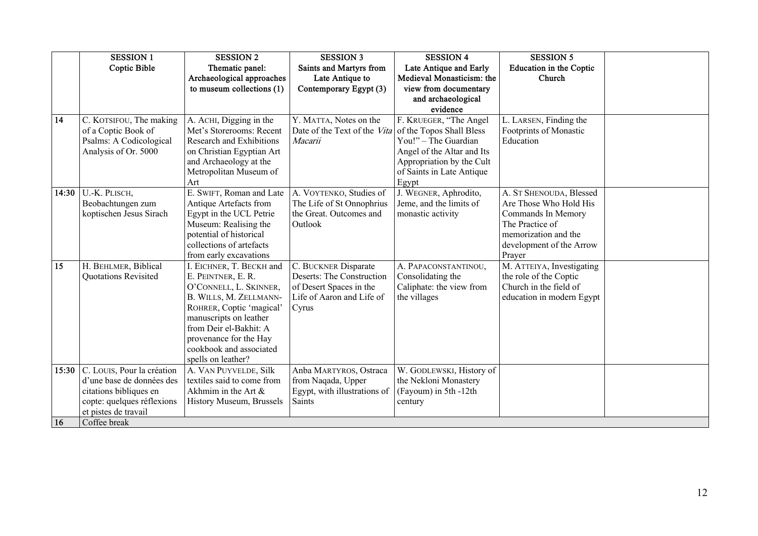|           | <b>SESSION 1</b>           | <b>SESSION 2</b>            | <b>SESSION 3</b>             | <b>SESSION 4</b>           | <b>SESSION 5</b>          |  |
|-----------|----------------------------|-----------------------------|------------------------------|----------------------------|---------------------------|--|
|           | Coptic Bible               | Thematic panel:             | Saints and Martyrs from      | Late Antique and Early     | Education in the Coptic   |  |
|           |                            | Archaeological approaches   | Late Antique to              | Medieval Monasticism: the  | Church                    |  |
|           |                            | to museum collections $(1)$ | Contemporary Egypt (3)       | view from documentary      |                           |  |
|           |                            |                             |                              | and archaeological         |                           |  |
|           |                            |                             |                              | evidence                   |                           |  |
| 14        | C. KOTSIFOU, The making    | A. ACHI, Digging in the     | Y. MATTA, Notes on the       | F. KRUEGER, "The Angel     | L. LARSEN, Finding the    |  |
|           | of a Coptic Book of        | Met's Storerooms: Recent    | Date of the Text of the Vita | of the Topos Shall Bless   | Footprints of Monastic    |  |
|           | Psalms: A Codicological    | Research and Exhibitions    | Macarii                      | You!" - The Guardian       | Education                 |  |
|           | Analysis of Or. 5000       | on Christian Egyptian Art   |                              | Angel of the Altar and Its |                           |  |
|           |                            | and Archaeology at the      |                              | Appropriation by the Cult  |                           |  |
|           |                            | Metropolitan Museum of      |                              | of Saints in Late Antique  |                           |  |
|           |                            | Art                         |                              | Egypt                      |                           |  |
| 14:30     | U.-K. PLISCH,              | E. SWIFT, Roman and Late    | A. VOYTENKO, Studies of      | J. WEGNER, Aphrodito,      | A. ST SHENOUDA, Blessed   |  |
|           | Beobachtungen zum          | Antique Artefacts from      | The Life of St Onnophrius    | Jeme, and the limits of    | Are Those Who Hold His    |  |
|           | koptischen Jesus Sirach    | Egypt in the UCL Petrie     | the Great. Outcomes and      | monastic activity          | Commands In Memory        |  |
|           |                            | Museum: Realising the       | Outlook                      |                            | The Practice of           |  |
|           |                            | potential of historical     |                              |                            | memorization and the      |  |
|           |                            | collections of artefacts    |                              |                            | development of the Arrow  |  |
|           |                            | from early excavations      |                              |                            | Prayer                    |  |
| 15        | H. BEHLMER, Biblical       | I. EICHNER, T. BECKH and    | C. BUCKNER Disparate         | A. PAPACONSTANTINOU,       | M. ATTEIYA, Investigating |  |
|           | Quotations Revisited       | E. PEINTNER, E. R.          | Deserts: The Construction    | Consolidating the          | the role of the Coptic    |  |
|           |                            | O'CONNELL, L. SKINNER,      | of Desert Spaces in the      | Caliphate: the view from   | Church in the field of    |  |
|           |                            | B. WILLS, M. ZELLMANN-      | Life of Aaron and Life of    | the villages               | education in modern Egypt |  |
|           |                            | ROHRER, Coptic 'magical'    | Cyrus                        |                            |                           |  |
|           |                            | manuscripts on leather      |                              |                            |                           |  |
|           |                            | from Deir el-Bakhit: A      |                              |                            |                           |  |
|           |                            | provenance for the Hay      |                              |                            |                           |  |
|           |                            | cookbook and associated     |                              |                            |                           |  |
|           |                            | spells on leather?          |                              |                            |                           |  |
| 15:30     | C. LOUIS, Pour la création | A. VAN PUYVELDE, Silk       | Anba MARTYROS, Ostraca       | W. GODLEWSKI, History of   |                           |  |
|           | d'une base de données des  | textiles said to come from  | from Naqada, Upper           | the Nekloni Monastery      |                           |  |
|           | citations bibliques en     | Akhmim in the Art $\&$      | Egypt, with illustrations of | (Fayoum) in 5th -12th      |                           |  |
|           | copte: quelques réflexions | History Museum, Brussels    | Saints                       | century                    |                           |  |
|           | et pistes de travail       |                             |                              |                            |                           |  |
| <b>16</b> | Coffee break               |                             |                              |                            |                           |  |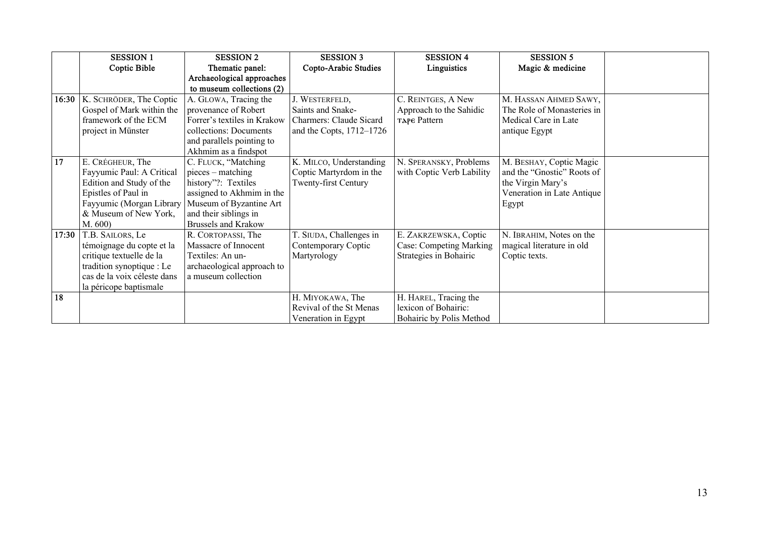|       | <b>SESSION 1</b>                | <b>SESSION 2</b>            | <b>SESSION 3</b>               | <b>SESSION 4</b>          | <b>SESSION 5</b>           |  |
|-------|---------------------------------|-----------------------------|--------------------------------|---------------------------|----------------------------|--|
|       | Coptic Bible                    | Thematic panel:             | Copto-Arabic Studies           | Linguistics               | Magic & medicine           |  |
|       |                                 | Archaeological approaches   |                                |                           |                            |  |
|       |                                 | to museum collections (2)   |                                |                           |                            |  |
|       | 16:30   K. SCHRÖDER, The Coptic | A. GLOWA, Tracing the       | J. WESTERFELD,                 | C. REINTGES, A New        | M. HASSAN AHMED SAWY,      |  |
|       | Gospel of Mark within the       | provenance of Robert        | Saints and Snake-              | Approach to the Sahidic   | The Role of Monasteries in |  |
|       | framework of the ECM            | Forrer's textiles in Krakow | <b>Charmers: Claude Sicard</b> | TAPE Pattern              | Medical Care in Late       |  |
|       | project in Münster              | collections: Documents      | and the Copts, $1712-1726$     |                           | antique Egypt              |  |
|       |                                 | and parallels pointing to   |                                |                           |                            |  |
|       |                                 | Akhmim as a findspot        |                                |                           |                            |  |
| 17    | E. CRÉGHEUR, The                | C. FLUCK, "Matching         | K. MILCO, Understanding        | N. SPERANSKY, Problems    | M. BESHAY, Coptic Magic    |  |
|       | Fayyumic Paul: A Critical       | pieces – matching           | Coptic Martyrdom in the        | with Coptic Verb Lability | and the "Gnostic" Roots of |  |
|       | Edition and Study of the        | history"?: Textiles         | Twenty-first Century           |                           | the Virgin Mary's          |  |
|       | Epistles of Paul in             | assigned to Akhmim in the   |                                |                           | Veneration in Late Antique |  |
|       | Fayyumic (Morgan Library        | Museum of Byzantine Art     |                                |                           | Egypt                      |  |
|       | & Museum of New York,           | and their siblings in       |                                |                           |                            |  |
|       | M. 600)                         | <b>Brussels and Krakow</b>  |                                |                           |                            |  |
| 17:30 | T.B. SAILORS, Le                | R. CORTOPASSI, The          | T. SIUDA, Challenges in        | E. ZAKRZEWSKA, Coptic     | N. IBRAHIM, Notes on the   |  |
|       | témoignage du copte et la       | Massacre of Innocent        | Contemporary Coptic            | Case: Competing Marking   | magical literature in old  |  |
|       | critique textuelle de la        | Textiles: An un-            | Martyrology                    | Strategies in Bohairic    | Coptic texts.              |  |
|       | tradition synoptique : Le       | archaeological approach to  |                                |                           |                            |  |
|       | cas de la voix céleste dans     | a museum collection         |                                |                           |                            |  |
|       | la péricope baptismale          |                             |                                |                           |                            |  |
| 18    |                                 |                             | H. MIYOKAWA, The               | H. HAREL, Tracing the     |                            |  |
|       |                                 |                             | Revival of the St Menas        | lexicon of Bohairic:      |                            |  |
|       |                                 |                             | Veneration in Egypt            | Bohairic by Polis Method  |                            |  |